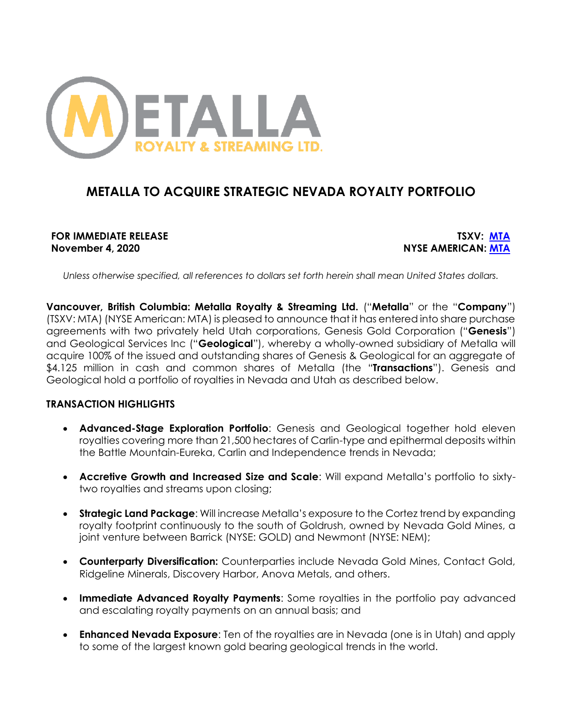

# **METALLA TO ACQUIRE STRATEGIC NEVADA ROYALTY PORTFOLIO**

**FOR IMMEDIATE RELEASE TSXV: [MTA](https://web.tmxmoney.com/quote.php?qm_symbol=MTA) November 4, 2020 NYSE AMERICAN: [MTA](https://www.nyse.com/quote/XASE:MTA)**

*Unless otherwise specified, all references to dollars set forth herein shall mean United States dollars.*

**Vancouver, British Columbia: Metalla Royalty & Streaming Ltd.** ("**Metalla**" or the "**Company**") (TSXV: MTA) (NYSE American: MTA) is pleased to announce that it has entered into share purchase agreements with two privately held Utah corporations, Genesis Gold Corporation ("**Genesis**") and Geological Services Inc ("**Geological**"), whereby a wholly-owned subsidiary of Metalla will acquire 100% of the issued and outstanding shares of Genesis & Geological for an aggregate of \$4.125 million in cash and common shares of Metalla (the "**Transactions**"). Genesis and Geological hold a portfolio of royalties in Nevada and Utah as described below.

#### **TRANSACTION HIGHLIGHTS**

- **Advanced-Stage Exploration Portfolio**: Genesis and Geological together hold eleven royalties covering more than 21,500 hectares of Carlin-type and epithermal deposits within the Battle Mountain-Eureka, Carlin and Independence trends in Nevada;
- **Accretive Growth and Increased Size and Scale**: Will expand Metalla's portfolio to sixtytwo royalties and streams upon closing;
- **Strategic Land Package:** Will increase Metalla's exposure to the Cortez trend by expanding royalty footprint continuously to the south of Goldrush, owned by Nevada Gold Mines, a joint venture between Barrick (NYSE: GOLD) and Newmont (NYSE: NEM);
- **Counterparty Diversification:** Counterparties include Nevada Gold Mines, Contact Gold, Ridgeline Minerals, Discovery Harbor, Anova Metals, and others.
- **Immediate Advanced Royalty Payments**: Some royalties in the portfolio pay advanced and escalating royalty payments on an annual basis; and
- **Enhanced Nevada Exposure**: Ten of the royalties are in Nevada (one is in Utah) and apply to some of the largest known gold bearing geological trends in the world.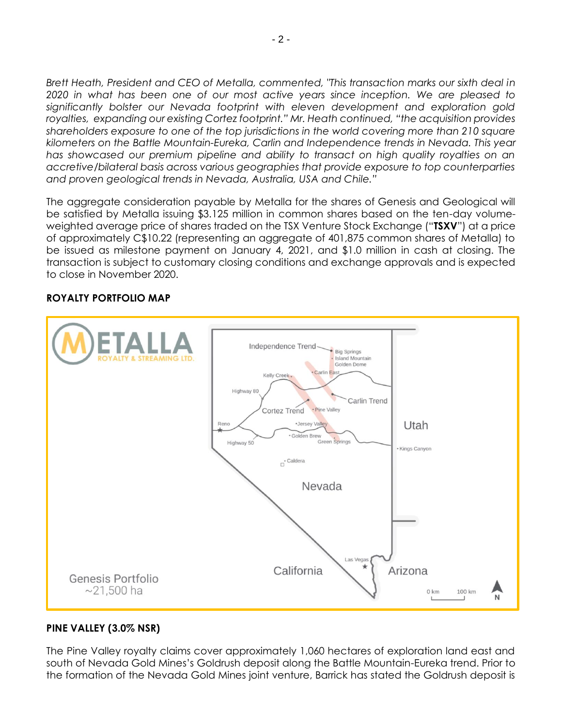*Brett Heath, President and CEO of Metalla, commented, "This transaction marks our sixth deal in 2020 in what has been one of our most active years since inception. We are pleased to significantly bolster our Nevada footprint with eleven development and exploration gold royalties, expanding our existing Cortez footprint." Mr. Heath continued, "the acquisition provides shareholders exposure to one of the top jurisdictions in the world covering more than 210 square kilometers on the Battle Mountain-Eureka, Carlin and Independence trends in Nevada. This year has showcased our premium pipeline and ability to transact on high quality royalties on an accretive/bilateral basis across various geographies that provide exposure to top counterparties and proven geological trends in Nevada, Australia, USA and Chile."*

The aggregate consideration payable by Metalla for the shares of Genesis and Geological will be satisfied by Metalla issuing \$3.125 million in common shares based on the ten-day volumeweighted average price of shares traded on the TSX Venture Stock Exchange ("**TSXV**") at a price of approximately C\$10.22 (representing an aggregate of 401,875 common shares of Metalla) to be issued as milestone payment on January 4, 2021, and \$1.0 million in cash at closing. The transaction is subject to customary closing conditions and exchange approvals and is expected to close in November 2020.

#### **ROYALTY PORTFOLIO MAP**



# **PINE VALLEY (3.0% NSR)**

The Pine Valley royalty claims cover approximately 1,060 hectares of exploration land east and south of Nevada Gold Mines's Goldrush deposit along the Battle Mountain-Eureka trend. Prior to the formation of the Nevada Gold Mines joint venture, Barrick has stated the Goldrush deposit is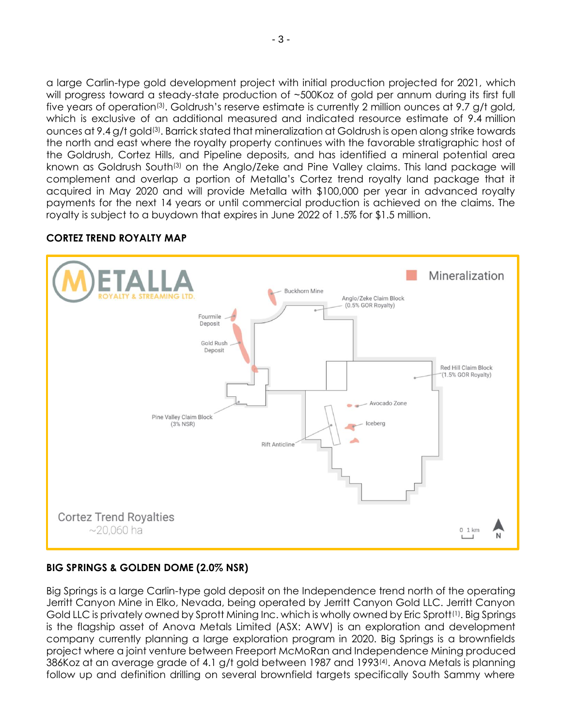a large Carlin-type gold development project with initial production projected for 2021, which will progress toward a steady-state production of ~500Koz of gold per annum during its first full five years of operation<sup>(3)</sup>. Goldrush's reserve estimate is currently 2 million ounces at 9.7 g/t gold, which is exclusive of an additional measured and indicated resource estimate of 9.4 million ounces at 9.4 g/t gold<sup>(3)</sup>. Barrick stated that mineralization at Goldrush is open along strike towards the north and east where the royalty property continues with the favorable stratigraphic host of the Goldrush, Cortez Hills, and Pipeline deposits, and has identified a mineral potential area known as Goldrush South<sup>(3)</sup> on the Anglo/Zeke and Pine Valley claims. This land package will complement and overlap a portion of Metalla's Cortez trend royalty land package that it acquired in May 2020 and will provide Metalla with \$100,000 per year in advanced royalty payments for the next 14 years or until commercial production is achieved on the claims. The royalty is subject to a buydown that expires in June 2022 of 1.5% for \$1.5 million.

# Mineralization **Buckhorn Mine ALTY & STREAMING LTD** Anglo/Zeke Claim Block (0.5% GOR Royalty) Fourmile Deposit Gold Rush Deposit Red Hill Claim Block (1.5% GOR Royalty) Avocado Zone Pine Valley Claim Block  $(3%$  NSR) Iceberg **Rift Anticline Cortez Trend Royalties**  $\sim$ 20,060 ha  $0 1 km$ N

# **CORTEZ TREND ROYALTY MAP**

# **BIG SPRINGS & GOLDEN DOME (2.0% NSR)**

Big Springs is a large Carlin-type gold deposit on the Independence trend north of the operating Jerritt Canyon Mine in Elko, Nevada, being operated by Jerritt Canyon Gold LLC. Jerritt Canyon Gold LLC is privately owned by Sprott Mining Inc. which is wholly owned by Eric Sprott(1). Big Springs is the flagship asset of Anova Metals Limited (ASX: AWV) is an exploration and development company currently planning a large exploration program in 2020. Big Springs is a brownfields project where a joint venture between Freeport McMoRan and Independence Mining produced 386Koz at an average grade of 4.1 g/t gold between 1987 and 1993(4) . Anova Metals is planning follow up and definition drilling on several brownfield targets specifically South Sammy where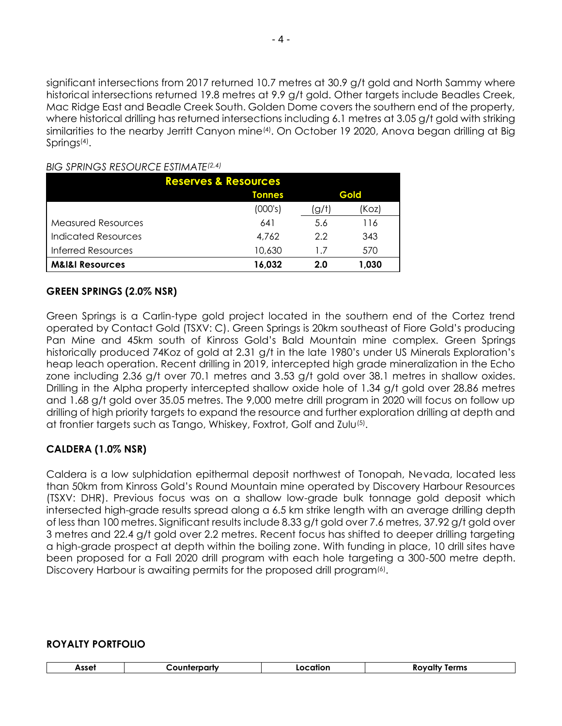significant intersections from 2017 returned 10.7 metres at 30.9 g/t gold and North Sammy where historical intersections returned 19.8 metres at 9.9 g/t gold. Other targets include Beadles Creek, Mac Ridge East and Beadle Creek South. Golden Dome covers the southern end of the property, where historical drilling has returned intersections including 6.1 metres at 3.05 g/t gold with striking similarities to the nearby Jerritt Canyon mine<sup>(4)</sup>. On October 19 2020, Anova began drilling at Big Springs<sup>(4)</sup>.

| <b>Reserves &amp; Resources</b> |               |       |       |  |  |  |  |
|---------------------------------|---------------|-------|-------|--|--|--|--|
|                                 | <b>Tonnes</b> | Gold  |       |  |  |  |  |
|                                 | (000's)       | (g/t) | (Koz) |  |  |  |  |
| <b>Measured Resources</b>       | 641           | 5.6   | 116   |  |  |  |  |
| <b>Indicated Resources</b>      | 4.762         | 2.2   | 343   |  |  |  |  |
| <b>Inferred Resources</b>       | 10,630        | 1.7   | 570   |  |  |  |  |
| <b>M&amp;I&amp;I Resources</b>  | 16,032        | 2.0   | 1.030 |  |  |  |  |

*BIG SPRINGS RESOURCE ESTIMATE(2,4)*

# **GREEN SPRINGS (2.0% NSR)**

Green Springs is a Carlin-type gold project located in the southern end of the Cortez trend operated by Contact Gold (TSXV: C). Green Springs is 20km southeast of Fiore Gold's producing Pan Mine and 45km south of Kinross Gold's Bald Mountain mine complex. Green Springs historically produced 74Koz of gold at 2.31 g/t in the late 1980's under US Minerals Exploration's heap leach operation. Recent drilling in 2019, intercepted high grade mineralization in the Echo zone including 2.36 g/t over 70.1 metres and 3.53 g/t gold over 38.1 metres in shallow oxides. Drilling in the Alpha property intercepted shallow oxide hole of 1.34 g/t gold over 28.86 metres and 1.68 g/t gold over 35.05 metres. The 9,000 metre drill program in 2020 will focus on follow up drilling of high priority targets to expand the resource and further exploration drilling at depth and at frontier targets such as Tango, Whiskey, Foxtrot, Golf and Zulu<sup>(5)</sup>.

# **CALDERA (1.0% NSR)**

Caldera is a low sulphidation epithermal deposit northwest of Tonopah, Nevada, located less than 50km from Kinross Gold's Round Mountain mine operated by Discovery Harbour Resources (TSXV: DHR). Previous focus was on a shallow low-grade bulk tonnage gold deposit which intersected high-grade results spread along a 6.5 km strike length with an average drilling depth of less than 100 metres. Significant results include 8.33 g/t gold over 7.6 metres, 37.92 g/t gold over 3 metres and 22.4 g/t gold over 2.2 metres. Recent focus has shifted to deeper drilling targeting a high-grade prospect at depth within the boiling zone. With funding in place, 10 drill sites have been proposed for a Fall 2020 drill program with each hole targeting a 300-500 metre depth. Discovery Harbour is awaiting permits for the proposed drill program<sup>(6)</sup>.

#### **ROYALTY PORTFOLIO**

| Asset | ∶atior<br>.oc | erms<br>ю<br> |
|-------|---------------|---------------|
|       |               |               |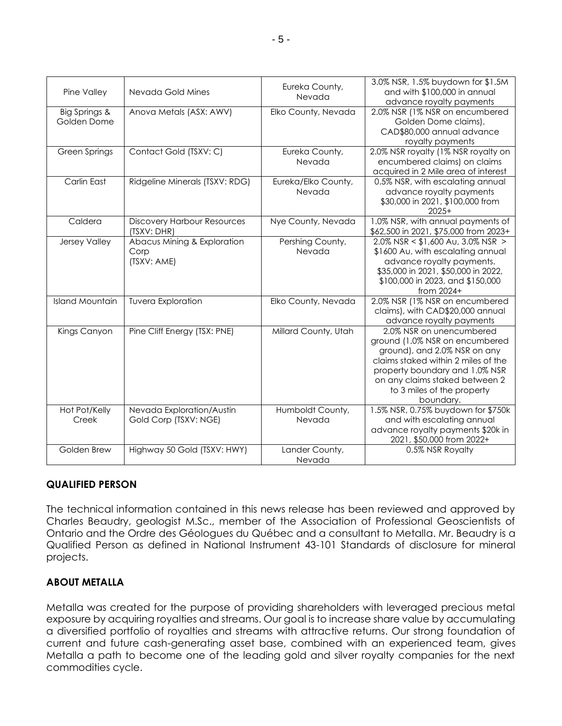| Pine Valley                             | Nevada Gold Mines                                  | Eureka County,<br>Nevada      | 3.0% NSR, 1.5% buydown for \$1.5M<br>and with \$100,000 in annual<br>advance royalty payments                                                                                                                                                    |
|-----------------------------------------|----------------------------------------------------|-------------------------------|--------------------------------------------------------------------------------------------------------------------------------------------------------------------------------------------------------------------------------------------------|
| <b>Big Springs &amp;</b><br>Golden Dome | Anova Metals (ASX: AWV)                            | Elko County, Nevada           | 2.0% NSR (1% NSR on encumbered<br>Golden Dome claims),<br>CAD\$80,000 annual advance<br>royalty payments                                                                                                                                         |
| <b>Green Springs</b>                    | Contact Gold (TSXV: C)                             | Eureka County,<br>Nevada      | 2.0% NSR royalty (1% NSR royalty on<br>encumbered claims) on claims<br>acquired in 2 Mile area of interest                                                                                                                                       |
| Carlin East                             | Ridgeline Minerals (TSXV: RDG)                     | Eureka/Elko County,<br>Nevada | 0.5% NSR, with escalating annual<br>advance royalty payments<br>\$30,000 in 2021, \$100,000 from<br>$2025+$                                                                                                                                      |
| Caldera                                 | <b>Discovery Harbour Resources</b><br>(TSXV: DHR)  | Nye County, Nevada            | 1.0% NSR, with annual payments of<br>\$62,500 in 2021, \$75,000 from 2023+                                                                                                                                                                       |
| Jersey Valley                           | Abacus Mining & Exploration<br>Corp<br>(TSXV: AME) | Pershing County,<br>Nevada    | 2.0% NSR < \$1,600 Au, 3.0% NSR ><br>\$1600 Au, with escalating annual<br>advance royalty payments.<br>\$35,000 in 2021, \$50,000 in 2022,<br>\$100,000 in 2023, and \$150,000<br>from $2024+$                                                   |
| <b>Island Mountain</b>                  | <b>Tuvera Exploration</b>                          | Elko County, Nevada           | 2.0% NSR (1% NSR on encumbered<br>claims), with CAD\$20,000 annual<br>advance royalty payments                                                                                                                                                   |
| Kings Canyon                            | Pine Cliff Energy (TSX: PNE)                       | Millard County, Utah          | 2.0% NSR on unencumbered<br>ground (1.0% NSR on encumbered<br>ground), and 2.0% NSR on any<br>claims staked within 2 miles of the<br>property boundary and 1.0% NSR<br>on any claims staked between 2<br>to 3 miles of the property<br>boundary. |
| Hot Pot/Kelly<br>Creek                  | Nevada Exploration/Austin<br>Gold Corp (TSXV: NGE) | Humboldt County,<br>Nevada    | 1.5% NSR, 0.75% buydown for \$750k<br>and with escalating annual<br>advance royalty payments \$20k in<br>2021, \$50,000 from 2022+                                                                                                               |
| Golden Brew                             | Highway 50 Gold (TSXV: HWY)                        | Lander County,<br>Nevada      | 0.5% NSR Royalty                                                                                                                                                                                                                                 |

#### **QUALIFIED PERSON**

The technical information contained in this news release has been reviewed and approved by Charles Beaudry, geologist M.Sc., member of the Association of Professional Geoscientists of Ontario and the Ordre des Géologues du Québec and a consultant to Metalla. Mr. Beaudry is a Qualified Person as defined in National Instrument 43-101 Standards of disclosure for mineral projects.

# **ABOUT METALLA**

Metalla was created for the purpose of providing shareholders with leveraged precious metal exposure by acquiring royalties and streams. Our goal is to increase share value by accumulating a diversified portfolio of royalties and streams with attractive returns. Our strong foundation of current and future cash-generating asset base, combined with an experienced team, gives Metalla a path to become one of the leading gold and silver royalty companies for the next commodities cycle.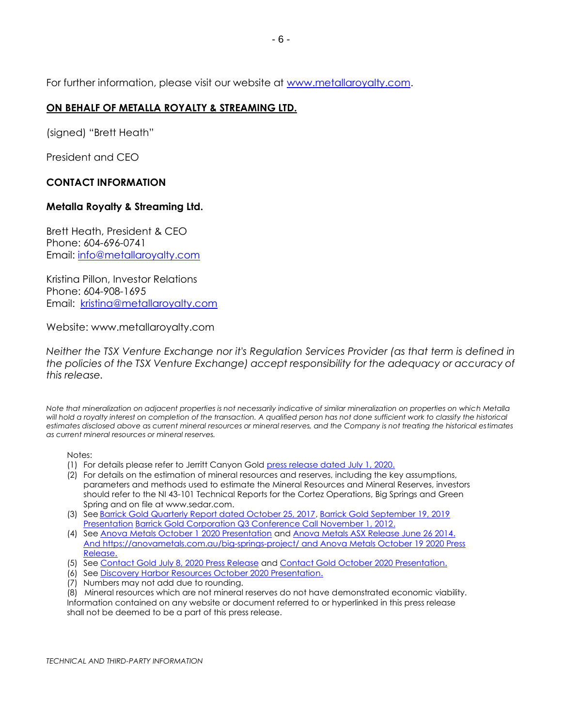For further information, please visit our website at [www.metallaroyalty.com.](http://www.metallaroyalty.com/)

### **ON BEHALF OF METALLA ROYALTY & STREAMING LTD.**

(signed) "Brett Heath"

President and CEO

#### **CONTACT INFORMATION**

#### **Metalla Royalty & Streaming Ltd.**

Brett Heath, President & CEO Phone: [604-696-0741](tel:604-696-0741) Email: [info@metallaroyalty.com](mailto:info@metallaroyalty.com)

Kristina Pillon, Investor Relations Phone: 604-908-1695 Email: [kristina@metallaroyalty.com](mailto:kristina@metallaroyalty.com)

Website: [www.metallaroyalty.com](http://www.metallaroyalty.com/)

*Neither the TSX Venture Exchange nor it's Regulation Services Provider (as that term is defined in the policies of the TSX Venture Exchange) accept responsibility for the adequacy or accuracy of this release.*

*Note that mineralization on adjacent properties is not necessarily indicative of similar mineralization on properties on which Metalla will hold a royalty interest on completion of the transaction. A qualified person has not done sufficient work to classify the historical estimates disclosed above as current mineral resources or mineral reserves, and the Company is not treating the historical estimates as current mineral resources or mineral reserves.*

Notes:

- (1) For details please refer to Jerritt Canyon Gol[d press release dated July 1, 2020.](https://jerrittcanyon.com/news/sprott-mining-purchases-remaining-20-interest-of-jerritt-canyon-gold-llc-from-white-box/)
- (2) For details on the estimation of mineral resources and reserves, including the key assumptions, parameters and methods used to estimate the Mineral Resources and Mineral Reserves, investors should refer to the NI 43-101 Technical Reports for the Cortez Operations, Big Springs and Green Spring and on file at www.sedar.com.
- (3) See [Barrick Gold Quarterly Report dated October 25, 2017,](https://www.barrick.com/English/news/news-details/2017/Barrick-Reports-Third-Quarter-2017-Results/default.aspx) [Barrick Gold September 19, 2019](https://barrick.q4cdn.com/788666289/files/doc_presentations/2019/09/Nevada-Gold-Mines-Analyst-Presentation-September-2019.pdf)  [Presentation](https://barrick.q4cdn.com/788666289/files/doc_presentations/2019/09/Nevada-Gold-Mines-Analyst-Presentation-September-2019.pdf) [Barrick Gold Corporation Q3 Conference Call November 1, 2012.](https://barrick.q4cdn.com/788666289/files/doc_presentations/2012/Barrick-Q3-2012-Webcast.pdf)
- (4) Se[e Anova Metals October 1 2020 Presentation](http://anovametals.com.au/wp-content/uploads/2020/10/Investor-Presentation.pdf) and [Anova Metals ASX Release June 26 2014.](http://anovametals.com.au/wp-content/uploads/2014/06/2014-06-26-AWV-JORC-Upgrade.pdf) An[d https://anovametals.com.au/big-springs-project/](https://anovametals.com.au/big-springs-project/) an[d Anova Metals October 19 2020 Press](http://anovametals.com.au/wp-content/uploads/2020/10/2020-Drilling-Program-Commences-at-Big-Springs.pdf)  [Release.](http://anovametals.com.au/wp-content/uploads/2020/10/2020-Drilling-Program-Commences-at-Big-Springs.pdf)
- (5) Se[e Contact Gold July 8, 2020 Press Release](http://www.contactgold.com/_resources/news/nr_20200708.pdf) and [Contact Gold October 2020 Presentation.](http://www.contactgold.com/_resources/presentations/corporate-presentation.pdf)
- (6) Se[e Discovery Harbor Resources October 2020 Presentation.](https://discoveryharbour.com/wp-content/uploads/2020/10/DHR-Oct-2020.pdf)
- (7) Numbers may not add due to rounding.

(8) Mineral resources which are not mineral reserves do not have demonstrated economic viability. Information contained on any website or document referred to or hyperlinked in this press release shall not be deemed to be a part of this press release.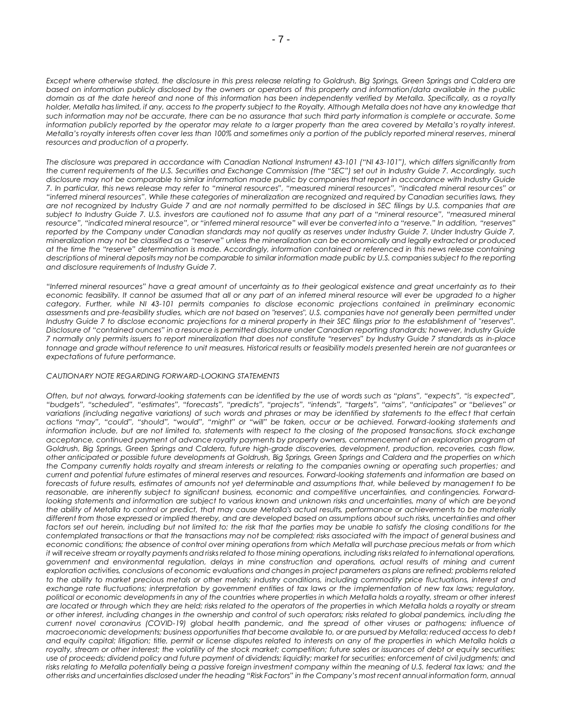*Except where otherwise stated, the disclosure in this press release relating to Goldrush, Big Springs, Green Springs and Caldera are based on information publicly disclosed by the owners or operators of this property and information/data available in the public domain as at the date hereof and none of this information has been independently verified by Metalla. Specifically, as a royalty holder, Metalla has limited, if any, access to the property subject to the Royalty. Although Metalla does not have any knowledge that such information may not be accurate, there can be no assurance that such third party information is complete or accurate. Some information publicly reported by the operator may relate to a larger property than the area covered by Metalla's royalty interest. Metalla's royalty interests often cover less than 100% and sometimes only a portion of the publicly reported mineral reserves, mineral resources and production of a property.*

*The disclosure was prepared in accordance with Canadian National Instrument 43-101 ("NI 43-101"), which differs significantly from the current requirements of the U.S. Securities and Exchange Commission (the "SEC") set out in Industry Guide 7. Accordingly, such disclosure may not be comparable to similar information made public by companies that report in accordance with Industry Guide 7. In particular, this news release may refer to "mineral resources", "measured mineral resources", "indicated mineral resources" or "inferred mineral resources". While these categories of mineralization are recognized and required by Canadian securities laws, they are not recognized by Industry Guide 7 and are not normally permitted to be disclosed in SEC filings by U.S. companies that are subject to Industry Guide 7. U.S. investors are cautioned not to assume that any part of a "mineral resource", "measured mineral resource", "indicated mineral resource", or "inferred mineral resource" will ever be converted into a "reserve." In addition, "reserves" reported by the Company under Canadian standards may not qualify as reserves under Industry Guide 7. Under Industry Guide 7, mineralization may not be classified as a "reserve" unless the mineralization can be economically and legally extracted or produced at the time the "reserve" determination is made. Accordingly, information contained or referenced in this news release containing*  descriptions of mineral deposits may not be comparable to similar information made public by U.S. companies subject to the reporting *and disclosure requirements of Industry Guide 7.*

"Inferred mineral resources" have a great amount of uncertainty as to their geological existence and great uncertainty as to their *economic feasibility. It cannot be assumed that all or any part of an inferred mineral resource will ever be upgraded to a higher category. Further, while NI 43-101 permits companies to disclose economic projections contained in preliminary economic assessments and pre-feasibility studies, which are not based on "reserves", U.S. companies have not generally been permitted under Industry Guide 7 to disclose economic projections for a mineral property in their SEC filings prior to the establishment of "reserves". Disclosure of "contained ounces" in a resource is permitted disclosure under Canadian reporting standards; however, Industry Guide 7 normally only permits issuers to report mineralization that does not constitute "reserves" by Industry Guide 7 standards as in-place tonnage and grade without reference to unit measures. Historical results or feasibility models presented herein are not guarantees or expectations of future performance.*

#### *CAUTIONARY NOTE REGARDING FORWARD-LOOKING STATEMENTS*

*Often, but not always, forward-looking statements can be identified by the use of words such as "plans", "expects", "is expected", "budgets", "scheduled", "estimates", "forecasts", "predicts", "projects", "intends", "targets", "aims", "anticipates" or "bel ieves" or variations (including negative variations) of such words and phrases or may be identified by statements to the effect that certain actions "may", "could", "should", "would", "might" or "will" be taken, occur or be achieved. Forward-looking statements and information include, but are not limited to, statements with respect to the closing of the proposed transactions, stock exchange acceptance, continued payment of advance royalty payments by property owners, commencement of an exploration program at Goldrush, Big Springs, Green Springs and Caldera, future high-grade discoveries, development, production, recoveries, cash flow, other anticipated or possible future developments at Goldrush, Big Springs, Green Springs and Caldera and the properties on which the Company currently holds royalty and stream interests or relating to the companies owning or operating such properties; and current and potential future estimates of mineral reserves and resources. Forward-looking statements and information are based on forecasts of future results, estimates of amounts not yet determinable and assumptions that, while believed by management to be reasonable, are inherently subject to significant business, economic and competitive uncertainties, and contingencies. Forward*looking statements and information are subject to various known and unknown risks and uncertainties, many of which are beyond *the ability of Metalla to control or predict, that may cause Metalla's actual results, performance or achievements to be materially different from those expressed or implied thereby, and are developed based on assumptions about such risks, uncertainties and other*  factors set out herein, including but not limited to: the risk that the parties may be unable to satisfy the closing conditions for the *contemplated transactions or that the transactions may not be completed; risks associated with the impact of general business and economic conditions; the absence of control over mining operations from which Metalla will purchase precious metals or from which it will receive stream or royalty payments and risks related to those mining operations, including risks related to international operations, government and environmental regulation, delays in mine construction and operations, actual results of mining and current exploration activities, conclusions of economic evaluations and changes in project parameters as plans are refined; problems related to the ability to market precious metals or other metals; industry conditions, including commodity price fluctuations, interest and exchange rate fluctuations; interpretation by government entities of tax laws or the implementation of new tax laws; regulatory, political or economic developments in any of the countries where properties in which Metalla holds a royalty, stream or other interest are located or through which they are held; risks related to the operators of the properties in which Metalla holds a royalty or stream or other interest, including changes in the ownership and control of such operators; risks related to global pandemics, including the current novel coronavirus (COVID-19) global health pandemic, and the spread of other viruses or pathogens; influence of macroeconomic developments; business opportunities that become available to, or are pursued by Metalla; reduced access to debt and equity capital; litigation; title, permit or license disputes related to interests on any of the properties in which Metalla holds a royalty, stream or other interest; the volatility of the stock market; competition; future sales or issuances of debt or equity securities; use of proceeds; dividend policy and future payment of dividends; liquidity; market for securities; enforcement of civil judgments; and risks relating to Metalla potentially being a passive foreign investment company within the meaning of U.S. federal tax laws; and the other risks and uncertainties disclosed under the heading "Risk Factors" in the Company's most recent annual information form, annual*